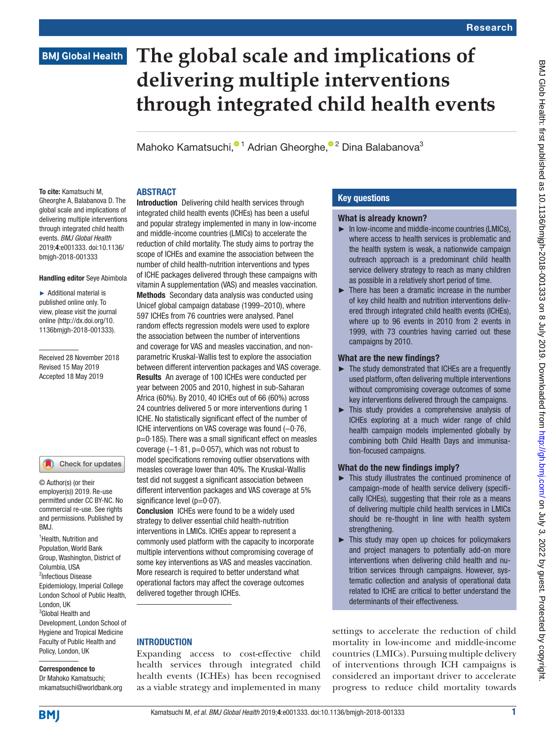# **The global scale and implications of delivering multiple interventions through integrated child health events**

Mahoko Kamatsuchi,<sup>01</sup> Adrian Gheorghe,<sup>02</sup> Dina Balabanova<sup>3</sup>

#### **ABSTRACT**

To cite: Kamatsuchi M, Gheorghe A, Balabanova D. The global scale and implications of delivering multiple interventions through integrated child health events. *BMJ Global Health* 2019;4:e001333. doi:10.1136/ bmjgh-2018-001333

#### Handling editor Seye Abimbola

► Additional material is published online only. To view, please visit the journal online (http://dx.doi.org/10. 1136bmjgh-2018-001333).

Received 28 November 2018 Revised 15 May 2019 Accepted 18 May 2019

#### Check for updates

© Author(s) (or their employer(s)) 2019. Re-use permitted under CC BY-NC. No commercial re-use. See rights and permissions. Published by RM<sub>J</sub>

<sup>1</sup>Health, Nutrition and Population, World Bank Group, Washington, District of Columbia, USA <sup>2</sup>Infectious Disease Epidemiology, Imperial College London School of Public Health, London, UK 3 Global Health and Development, London School of Hygiene and Tropical Medicine Faculty of Public Health and Policy, London, UK

#### Correspondence to

Dr Mahoko Kamatsuchi; mkamatsuchi@worldbank.org

Introduction Delivering child health services through integrated child health events (ICHEs) has been a useful and popular strategy implemented in many in low-income and middle-income countries (LMICs) to accelerate the reduction of child mortality. The study aims to portray the scope of ICHEs and examine the association between the number of child health-nutrition interventions and types of ICHE packages delivered through these campaigns with vitamin A supplementation (VAS) and measles vaccination. Methods Secondary data analysis was conducted using Unicef global campaign database (1999–2010), where 597 ICHEs from 76 countries were analysed. Panel random effects regression models were used to explore the association between the number of interventions and coverage for VAS and measles vaccination, and nonparametric Kruskal-Wallis test to explore the association between different intervention packages and VAS coverage. Results An average of 100 ICHEs were conducted per year between 2005 and 2010, highest in sub-Saharan Africa (60%). By 2010, 40 ICHEs out of 66 (60%) across 24 countries delivered 5 or more interventions during 1 ICHE. No statistically significant effect of the number of ICHE interventions on VAS coverage was found (−0·76,  $p=0.185$ ). There was a small significant effect on measles coverage  $(-1.81, p=0.057)$ , which was not robust to model specifications removing outlier observations with measles coverage lower than 40%. The Kruskal-Wallis test did not suggest a significant association between different intervention packages and VAS coverage at 5% significance level ( $p=0.07$ ).

Conclusion ICHEs were found to be a widely used strategy to deliver essential child health-nutrition interventions in LMICs. ICHEs appear to represent a commonly used platform with the capacity to incorporate multiple interventions without compromising coverage of some key interventions as VAS and measles vaccination. More research is required to better understand what operational factors may affect the coverage outcomes delivered together through ICHEs.

#### **INTRODUCTION**

Expanding access to cost-effective child health services through integrated child health events (ICHEs) has been recognised as a viable strategy and implemented in many

#### Key questions

#### What is already known?

- ► In low-income and middle-income countries (LMICs), where access to health services is problematic and the health system is weak, a nationwide campaign outreach approach is a predominant child health service delivery strategy to reach as many children as possible in a relatively short period of time.
- $\blacktriangleright$  There has been a dramatic increase in the number of key child health and nutrition interventions delivered through integrated child health events (ICHEs), where up to 96 events in 2010 from 2 events in 1999, with 73 countries having carried out these campaigns by 2010.

#### What are the new findings?

- ► The study demonstrated that ICHEs are a frequently used platform, often delivering multiple interventions without compromising coverage outcomes of some key interventions delivered through the campaigns.
- ► This study provides a comprehensive analysis of ICHEs exploring at a much wider range of child health campaign models implemented globally by combining both Child Health Days and immunisation-focused campaigns.

#### What do the new findings imply?

- ► This study illustrates the continued prominence of campaign-mode of health service delivery (specifically ICHEs), suggesting that their role as a means of delivering multiple child health services in LMICs should be re-thought in line with health system strengthening.
- ► This study may open up choices for policymakers and project managers to potentially add-on more interventions when delivering child health and nutrition services through campaigns. However, systematic collection and analysis of operational data related to ICHE are critical to better understand the determinants of their effectiveness.

settings to accelerate the reduction of child mortality in low-income and middle-income countries (LMICs). Pursuing multiple delivery of interventions through ICH campaigns is considered an important driver to accelerate progress to reduce child mortality towards

**BMI**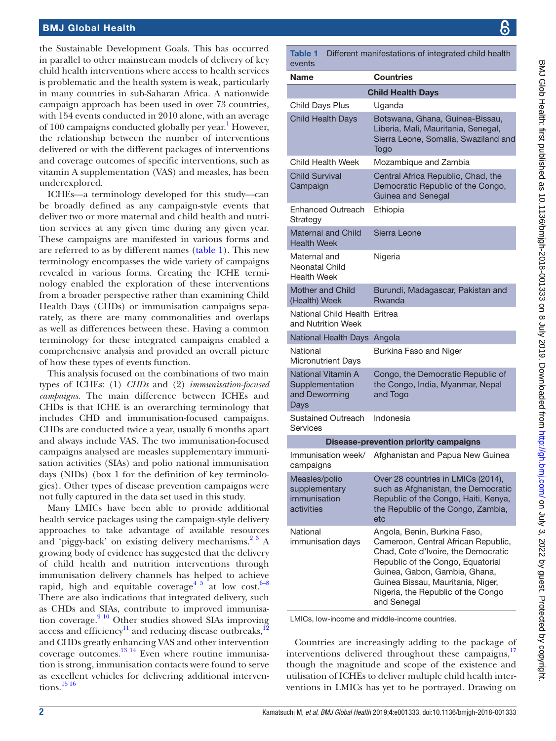the Sustainable Development Goals. This has occurred in parallel to other mainstream models of delivery of key child health interventions where access to health services is problematic and the health system is weak, particularly in many countries in sub-Saharan Africa. A nationwide campaign approach has been used in over 73 countries, with 154 events conducted in 2010 alone, with an average of 100 campaigns conducted globally per year.<sup>1</sup> However, the relationship between the number of interventions delivered or with the different packages of interventions and coverage outcomes of specific interventions, such as vitamin A supplementation (VAS) and measles, has been underexplored.

ICHEs—a terminology developed for this study—can be broadly defined as any campaign-style events that deliver two or more maternal and child health and nutrition services at any given time during any given year. These campaigns are manifested in various forms and are referred to as by different names ([table](#page-1-0) 1). This new terminology encompasses the wide variety of campaigns revealed in various forms. Creating the ICHE terminology enabled the exploration of these interventions from a broader perspective rather than examining Child Health Days (CHDs) or immunisation campaigns separately, as there are many commonalities and overlaps as well as differences between these. Having a common terminology for these integrated campaigns enabled a comprehensive analysis and provided an overall picture of how these types of events function.

This analysis focused on the combinations of two main types of ICHEs: (1) *CHDs* and (2) *immunisation-focused campaigns*. The main difference between ICHEs and CHDs is that ICHE is an overarching terminology that includes CHD and immunisation-focused campaigns. CHDs are conducted twice a year, usually 6 months apart and always include VAS. The two immunisation-focused campaigns analysed are measles supplementary immunisation activities (SIAs) and polio national immunisation days (NIDs) ([box 1](https://dx.doi.org/10.1136/bmjgh-2018-001333) for the definition of key terminologies). Other types of disease prevention campaigns were not fully captured in the data set used in this study.

Many LMICs have been able to provide additional health service packages using the campaign-style delivery approaches to take advantage of available resources and 'piggy-back' on existing delivery mechanisms. $2^3$  A growing body of evidence has suggested that the delivery of child health and nutrition interventions through immunisation delivery channels has helped to achieve rapid, high and equitable coverage<sup>4 5</sup> at low cost.<sup>6–8</sup> There are also indications that integrated delivery, such as CHDs and SIAs, contribute to improved immunisation coverage. $9^{10}$  Other studies showed SIAs improving access and  $\text{efficiency}^{11}$  and reducing disease outbreaks, and CHDs greatly enhancing VAS and other intervention coverage outcomes. $^{13}$   $^{14}$  Even where routine immunisation is strong, immunisation contacts were found to serve as excellent vehicles for delivering additional interven-tions.<sup>[15 16](#page-8-8)</sup>

<span id="page-1-0"></span>Table 1 Different manifestations of integrated child health events

| Name                                                           | <b>Countries</b>                                                                                                                                                                                                                                                           |
|----------------------------------------------------------------|----------------------------------------------------------------------------------------------------------------------------------------------------------------------------------------------------------------------------------------------------------------------------|
|                                                                | <b>Child Health Days</b>                                                                                                                                                                                                                                                   |
| Child Days Plus                                                | Uganda                                                                                                                                                                                                                                                                     |
| <b>Child Health Days</b>                                       | Botswana, Ghana, Guinea-Bissau,<br>Liberia, Mali, Mauritania, Senegal,<br>Sierra Leone, Somalia, Swaziland and<br>Togo                                                                                                                                                     |
| Child Health Week                                              | Mozambique and Zambia                                                                                                                                                                                                                                                      |
| <b>Child Survival</b><br>Campaign                              | Central Africa Republic, Chad, the<br>Democratic Republic of the Congo,<br>Guinea and Senegal                                                                                                                                                                              |
| Enhanced Outreach<br>Strategy                                  | Ethiopia                                                                                                                                                                                                                                                                   |
| <b>Maternal and Child</b><br><b>Health Week</b>                | Sierra Leone                                                                                                                                                                                                                                                               |
| Maternal and<br>Neonatal Child<br><b>Health Week</b>           | Nigeria                                                                                                                                                                                                                                                                    |
| Mother and Child<br>(Health) Week                              | Burundi, Madagascar, Pakistan and<br>Rwanda                                                                                                                                                                                                                                |
| National Child Health<br>and Nutrition Week                    | Eritrea                                                                                                                                                                                                                                                                    |
| National Health Days Angola                                    |                                                                                                                                                                                                                                                                            |
| National<br><b>Micronutrient Days</b>                          | Burkina Faso and Niger                                                                                                                                                                                                                                                     |
| National Vitamin A<br>Supplementation<br>and Deworming<br>Days | Congo, the Democratic Republic of<br>the Congo, India, Myanmar, Nepal<br>and Togo                                                                                                                                                                                          |
| Sustained Outreach<br>Services                                 | Indonesia                                                                                                                                                                                                                                                                  |
|                                                                | <b>Disease-prevention priority campaigns</b>                                                                                                                                                                                                                               |
| campaigns                                                      | Immunisation week/ Afghanistan and Papua New Guinea                                                                                                                                                                                                                        |
| Measles/polio<br>supplementary<br>immunisation<br>activities   | Over 28 countries in LMICs (2014),<br>such as Afghanistan, the Democratic<br>Republic of the Congo, Haiti, Kenya,<br>the Republic of the Congo, Zambia,<br>etc                                                                                                             |
| National<br>immunisation days                                  | Angola, Benin, Burkina Faso,<br>Cameroon, Central African Republic,<br>Chad, Cote d'Ivoire, the Democratic<br>Republic of the Congo, Equatorial<br>Guinea, Gabon, Gambia, Ghana,<br>Guinea Bissau, Mauritania, Niger,<br>Nigeria, the Republic of the Congo<br>and Senegal |

LMICs, low-income and middle-income countries.

Countries are increasingly adding to the package of interventions delivered throughout these campaigns,<sup>[17](#page-8-9)</sup> though the magnitude and scope of the existence and utilisation of ICHEs to deliver multiple child health interventions in LMICs has yet to be portrayed. Drawing on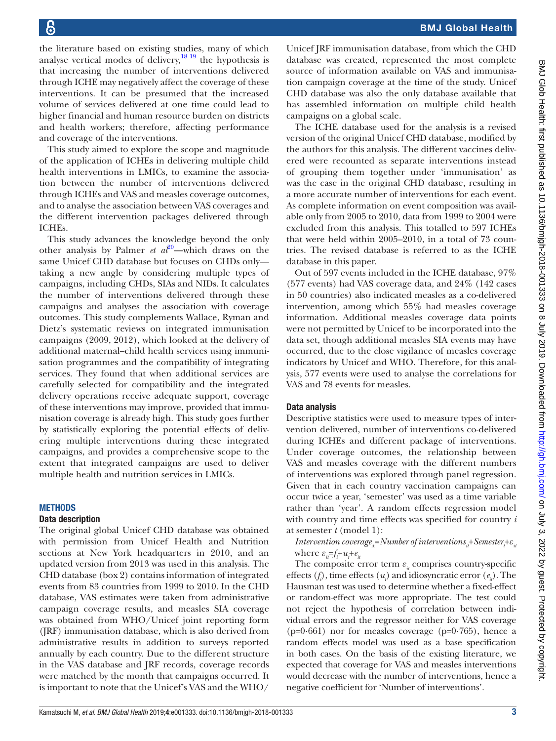BMJ Glob Health: first published as 10.1136/bmjgh-2018-001333 on 8 July 2019. Downloaded from <http://gh.bmj.com/> on July 3, 2022 by guest. Protected by copyright:

BMJ Glob Health: first published as 10.1136/bmigh-2018-001333 on 8 July 2019. Downloaded from http://gh.bm/.com/ on July 3, 2022 by guest. Protected by copyright

the literature based on existing studies, many of which analyse vertical modes of delivery,  $^{18}$  19 the hypothesis is that increasing the number of interventions delivered through ICHE may negatively affect the coverage of these interventions. It can be presumed that the increased volume of services delivered at one time could lead to higher financial and human resource burden on districts and health workers; therefore, affecting performance and coverage of the interventions.

This study aimed to explore the scope and magnitude of the application of ICHEs in delivering multiple child health interventions in LMICs, to examine the association between the number of interventions delivered through ICHEs and VAS and measles coverage outcomes, and to analyse the association between VAS coverages and the different intervention packages delivered through ICHEs.

This study advances the knowledge beyond the only other analysis by Palmer *et al*<sup>[20](#page-8-11)</sup>—which draws on the same Unicef CHD database but focuses on CHDs only taking a new angle by considering multiple types of campaigns, including CHDs, SIAs and NIDs. It calculates the number of interventions delivered through these campaigns and analyses the association with coverage outcomes. This study complements Wallace, Ryman and Dietz's systematic reviews on integrated immunisation campaigns (2009, 2012), which looked at the delivery of additional maternal–child health services using immunisation programmes and the compatibility of integrating services. They found that when additional services are carefully selected for compatibility and the integrated delivery operations receive adequate support, coverage of these interventions may improve, provided that immunisation coverage is already high. This study goes further by statistically exploring the potential effects of delivering multiple interventions during these integrated campaigns, and provides a comprehensive scope to the extent that integrated campaigns are used to deliver multiple health and nutrition services in LMICs.

#### **METHODS**

#### Data description

The original global Unicef CHD database was obtained with permission from Unicef Health and Nutrition sections at New York headquarters in 2010, and an updated version from 2013 was used in this analysis. The CHD database [\(box 2\)](https://dx.doi.org/10.1136/bmjgh-2018-001333) contains information of integrated events from 83 countries from 1999 to 2010. In the CHD database, VAS estimates were taken from administrative campaign coverage results, and measles SIA coverage was obtained from WHO/Unicef joint reporting form (JRF) immunisation database, which is also derived from administrative results in addition to surveys reported annually by each country. Due to the different structure in the VAS database and JRF records, coverage records were matched by the month that campaigns occurred. It is important to note that the Unicef's VAS and the WHO/

Unicef JRF immunisation database, from which the CHD database was created, represented the most complete source of information available on VAS and immunisation campaign coverage at the time of the study. Unicef CHD database was also the only database available that has assembled information on multiple child health campaigns on a global scale.

BMJ Global Health

The ICHE database used for the analysis is a revised version of the original Unicef CHD database, modified by the authors for this analysis. The different vaccines delivered were recounted as separate interventions instead of grouping them together under 'immunisation' as was the case in the original CHD database, resulting in a more accurate number of interventions for each event. As complete information on event composition was available only from 2005 to 2010, data from 1999 to 2004 were excluded from this analysis. This totalled to 597 ICHEs that were held within 2005–2010, in a total of 73 countries. The revised database is referred to as the ICHE database in this paper.

Out of 597 events included in the ICHE database, 97% (577 events) had VAS coverage data, and 24% (142 cases in 50 countries) also indicated measles as a co-delivered intervention, among which 55% had measles coverage information. Additional measles coverage data points were not permitted by Unicef to be incorporated into the data set, though additional measles SIA events may have occurred, due to the close vigilance of measles coverage indicators by Unicef and WHO. Therefore, for this analysis, 577 events were used to analyse the correlations for VAS and 78 events for measles.

#### Data analysis

Descriptive statistics were used to measure types of intervention delivered, number of interventions co-delivered during ICHEs and different package of interventions. Under coverage outcomes, the relationship between VAS and measles coverage with the different numbers of interventions was explored through panel regression. Given that in each country vaccination campaigns can occur twice a year, 'semester' was used as a time variable rather than 'year'. A random effects regression model with country and time effects was specified for country *i* at semester *t* (model 1):

 $\emph{Intervention coverage}_{it}$ = $\emph{Number of interventions}_{it}$ + $\emph{Semester}_{t}$ + $\epsilon_{it}$ where  $\varepsilon_i = f_i + u_i + e_i$ 

The composite error term  $\varepsilon$ <sub>*i*</sub> comprises country-specific effects  $(f_i)$ , time effects  $(u_i)$  and idiosyncratic error  $(e_i)$ . The Hausman test was used to determine whether a fixed-effect or random-effect was more appropriate. The test could not reject the hypothesis of correlation between individual errors and the regressor neither for VAS coverage  $(p=0.661)$  nor for measles coverage  $(p=0.765)$ , hence a random effects model was used as a base specification in both cases. On the basis of the existing literature, we expected that coverage for VAS and measles interventions would decrease with the number of interventions, hence a negative coefficient for 'Number of interventions'.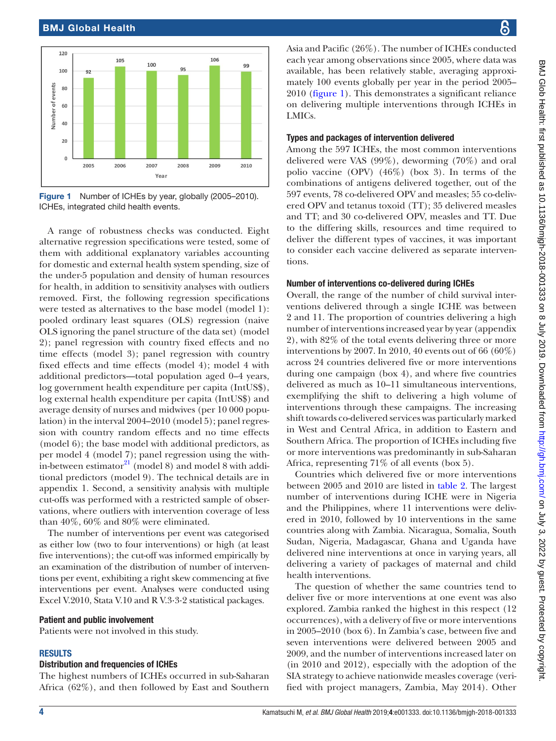

<span id="page-3-0"></span>Figure 1 Number of ICHEs by year, globally (2005–2010). ICHEs, integrated child health events.

A range of robustness checks was conducted. Eight alternative regression specifications were tested, some of them with additional explanatory variables accounting for domestic and external health system spending, size of the under-5 population and density of human resources for health, in addition to sensitivity analyses with outliers removed. First, the following regression specifications were tested as alternatives to the base model (model 1): pooled ordinary least squares (OLS) regression (naive OLS ignoring the panel structure of the data set) (model 2); panel regression with country fixed effects and no time effects (model 3); panel regression with country fixed effects and time effects (model 4); model 4 with additional predictors—total population aged 0–4 years, log government health expenditure per capita (IntUS\$), log external health expenditure per capita (IntUS\$) and average density of nurses and midwives (per 10 000 population) in the interval 2004–2010 (model 5); panel regression with country random effects and no time effects (model 6); the base model with additional predictors, as per model 4 (model 7); panel regression using the within-between estimator $^{21}$  (model 8) and model 8 with additional predictors (model 9). The technical details are in [appendix 1.](https://dx.doi.org/10.1136/bmjgh-2018-001333) Second, a sensitivity analysis with multiple cut-offs was performed with a restricted sample of observations, where outliers with intervention coverage of less than 40%, 60% and 80% were eliminated.

The number of interventions per event was categorised as either low (two to four interventions) or high (at least five interventions); the cut-off was informed empirically by an examination of the distribution of number of interventions per event, exhibiting a right skew commencing at five interventions per event. Analyses were conducted using Excel V.2010, Stata V.10 and R V.3·3·2 statistical packages.

#### Patient and public involvement

Patients were not involved in this study.

#### **RESULTS**

#### Distribution and frequencies of ICHEs

The highest numbers of ICHEs occurred in sub-Saharan Africa (62%), and then followed by East and Southern

Asia and Pacific (26%). The number of ICHEs conducted each year among observations since 2005, where data was available, has been relatively stable, averaging approximately 100 events globally per year in the period 2005– 2010 [\(figure](#page-3-0) 1). This demonstrates a significant reliance on delivering multiple interventions through ICHEs in LMICs.

#### Types and packages of intervention delivered

Among the 597 ICHEs, the most common interventions delivered were VAS (99%), deworming (70%) and oral polio vaccine (OPV) (46%) [\(box 3\)](https://dx.doi.org/10.1136/bmjgh-2018-001333). In terms of the combinations of antigens delivered together, out of the 597 events, 78 co-delivered OPV and measles; 55 co-delivered OPV and tetanus toxoid (TT); 35 delivered measles and TT; and 30 co-delivered OPV, measles and TT. Due to the differing skills, resources and time required to deliver the different types of vaccines, it was important to consider each vaccine delivered as separate interventions.

#### Number of interventions co-delivered during ICHEs

Overall, the range of the number of child survival interventions delivered through a single ICHE was between 2 and 11. The proportion of countries delivering a high number of interventions increased year by year [\(appendix](https://dx.doi.org/10.1136/bmjgh-2018-001333) [2](https://dx.doi.org/10.1136/bmjgh-2018-001333)), with 82% of the total events delivering three or more interventions by 2007. In 2010, 40 events out of 66 (60%) across 24 countries delivered five or more interventions during one campaign ([box 4\)](https://dx.doi.org/10.1136/bmjgh-2018-001333), and where five countries delivered as much as 10–11 simultaneous interventions, exemplifying the shift to delivering a high volume of interventions through these campaigns. The increasing shift towards co-delivered services was particularly marked in West and Central Africa, in addition to Eastern and Southern Africa. The proportion of ICHEs including five or more interventions was predominantly in sub-Saharan Africa, representing 71% of all events ([box 5](https://dx.doi.org/10.1136/bmjgh-2018-001333)).

Countries which delivered five or more interventions between 2005 and 2010 are listed in [table](#page-4-0) 2. The largest number of interventions during ICHE were in Nigeria and the Philippines, where 11 interventions were delivered in 2010, followed by 10 interventions in the same countries along with Zambia. Nicaragua, Somalia, South Sudan, Nigeria, Madagascar, Ghana and Uganda have delivered nine interventions at once in varying years, all delivering a variety of packages of maternal and child health interventions.

The question of whether the same countries tend to deliver five or more interventions at one event was also explored. Zambia ranked the highest in this respect (12 occurrences), with a delivery of five or more interventions in 2005–2010 ([box 6](https://dx.doi.org/10.1136/bmjgh-2018-001333)). In Zambia's case, between five and seven interventions were delivered between 2005 and 2009, and the number of interventions increased later on (in 2010 and 2012), especially with the adoption of the SIA strategy to achieve nationwide measles coverage (verified with project managers, Zambia, May 2014). Other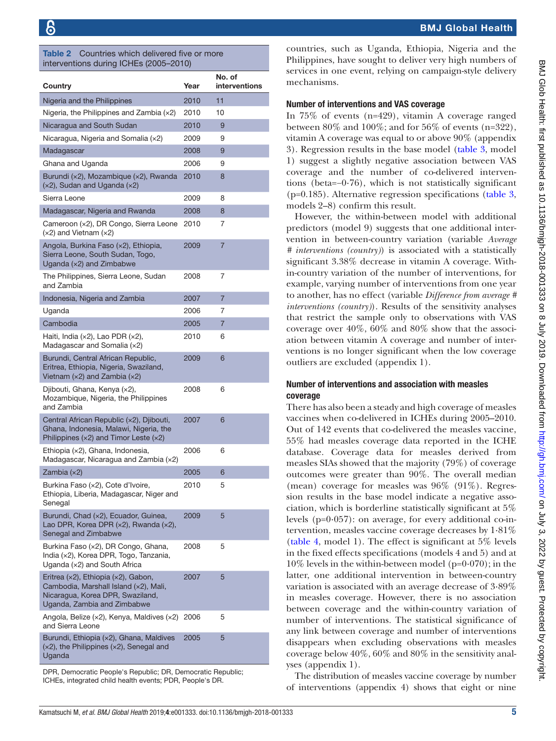<span id="page-4-0"></span>Table 2 Countries which delivered five or more interventions during ICHEs (2005–2010)

| Country                                                                                                                                         | Year | No. of<br>interventions |
|-------------------------------------------------------------------------------------------------------------------------------------------------|------|-------------------------|
| Nigeria and the Philippines                                                                                                                     | 2010 | 11                      |
| Nigeria, the Philippines and Zambia $(x2)$                                                                                                      | 2010 | 10                      |
| Nicaragua and South Sudan                                                                                                                       | 2010 | 9                       |
| Nicaragua, Nigeria and Somalia (×2)                                                                                                             | 2009 | 9                       |
| Madagascar                                                                                                                                      | 2008 | 9                       |
| Ghana and Uganda                                                                                                                                | 2006 | 9                       |
| Burundi (x2), Mozambique (x2), Rwanda<br>$(x2)$ , Sudan and Uganda $(x2)$                                                                       | 2010 | 8                       |
| Sierra Leone                                                                                                                                    | 2009 | 8                       |
| Madagascar, Nigeria and Rwanda                                                                                                                  | 2008 | 8                       |
| Cameroon (x2), DR Congo, Sierra Leone<br>$(x2)$ and Vietnam $(x2)$                                                                              | 2010 | 7                       |
| Angola, Burkina Faso (x2), Ethiopia,<br>Sierra Leone, South Sudan, Togo,<br>Uganda (x2) and Zimbabwe                                            | 2009 | $\overline{7}$          |
| The Philippines, Sierra Leone, Sudan<br>and Zambia                                                                                              | 2008 | 7                       |
| Indonesia, Nigeria and Zambia                                                                                                                   | 2007 | 7                       |
| Uganda                                                                                                                                          | 2006 | 7                       |
| Cambodia                                                                                                                                        | 2005 | 7                       |
| Haiti, India (x2), Lao PDR (x2),<br>Madagascar and Somalia $(x2)$                                                                               | 2010 | 6                       |
| Burundi, Central African Republic,<br>Eritrea, Ethiopia, Nigeria, Swaziland,<br>Vietnam $(x2)$ and Zambia $(x2)$                                | 2009 | 6                       |
| Djibouti, Ghana, Kenya (×2),<br>Mozambique, Nigeria, the Philippines<br>and Zambia                                                              | 2008 | 6                       |
| Central African Republic (x2), Djibouti,<br>Ghana, Indonesia, Malawi, Nigeria, the<br>Philippines $(x2)$ and Timor Leste $(x2)$                 | 2007 | 6                       |
| Ethiopia (x2), Ghana, Indonesia,<br>Madagascar, Nicaragua and Zambia (x2)                                                                       | 2006 | 6                       |
| Zambia $(x2)$                                                                                                                                   | 2005 | 6                       |
| Burkina Faso (x2), Cote d'Ivoire,<br>Ethiopia, Liberia, Madagascar, Niger and<br>Senegal                                                        | 2010 | 5                       |
| Burundi, Chad (x2), Ecuador, Guinea,<br>Lao DPR, Korea DPR (x2), Rwanda (x2),<br>Senegal and Zimbabwe                                           | 2009 | 5                       |
| Burkina Faso (x2), DR Congo, Ghana,<br>India (x2), Korea DPR, Togo, Tanzania,<br>Uganda (x2) and South Africa                                   | 2008 | 5                       |
| Eritrea (x2), Ethiopia (x2), Gabon,<br>Cambodia, Marshall Island (x2), Mali,<br>Nicaragua, Korea DPR, Swaziland,<br>Uganda, Zambia and Zimbabwe | 2007 | 5                       |
| Angola, Belize (x2), Kenya, Maldives (x2)<br>and Sierra Leone                                                                                   | 2006 | 5                       |
| Burundi, Ethiopia (x2), Ghana, Maldives<br>$(x2)$ , the Philippines $(x2)$ , Senegal and<br>Uganda                                              | 2005 | 5                       |

DPR, Democratic People's Republic; DR, Democratic Republic; ICHEs, integrated child health events; PDR, People's DR.

countries, such as Uganda, Ethiopia, Nigeria and the Philippines, have sought to deliver very high numbers of services in one event, relying on campaign-style delivery mechanisms.

#### Number of interventions and VAS coverage

In 75% of events (n=429), vitamin A coverage ranged between  $80\%$  and  $100\%$ ; and for  $56\%$  of events (n=322), vitamin A coverage was equal to or above 90% [\(appendix](https://dx.doi.org/10.1136/bmjgh-2018-001333) [3](https://dx.doi.org/10.1136/bmjgh-2018-001333)). Regression results in the base model [\(table](#page-5-0) 3, model 1) suggest a slightly negative association between VAS coverage and the number of co-delivered interventions (beta=−0·76), which is not statistically significant (p=0.185). Alternative regression specifications ([table](#page-5-0) 3, models 2–8) confirm this result.

However, the within-between model with additional predictors (model 9) suggests that one additional intervention in between-country variation (variable *Average # interventions (country)*) is associated with a statistically significant 3.38% decrease in vitamin A coverage. Within-country variation of the number of interventions, for example, varying number of interventions from one year to another, has no effect (variable *Difference from average # interventions (country)*). Results of the sensitivity analyses that restrict the sample only to observations with VAS coverage over 40%, 60% and 80% show that the association between vitamin A coverage and number of interventions is no longer significant when the low coverage outliers are excluded ([appendix 1\)](https://dx.doi.org/10.1136/bmjgh-2018-001333).

#### Number of interventions and association with measles coverage

There has also been a steady and high coverage of measles vaccines when co-delivered in ICHEs during 2005–2010. Out of 142 events that co-delivered the measles vaccine, 55% had measles coverage data reported in the ICHE database. Coverage data for measles derived from measles SIAs showed that the majority (79%) of coverage outcomes were greater than 90%. The overall median (mean) coverage for measles was 96% (91%). Regression results in the base model indicate a negative association, which is borderline statistically significant at 5% levels (p=0·057): on average, for every additional co-intervention, measles vaccine coverage decreases by 1·81% [\(table](#page-6-0) 4, model 1). The effect is significant at 5% levels in the fixed effects specifications (models 4 and 5) and at 10% levels in the within-between model (p=0·070); in the latter, one additional intervention in between-country variation is associated with an average decrease of 3·89% in measles coverage. However, there is no association between coverage and the within-country variation of number of interventions. The statistical significance of any link between coverage and number of interventions disappears when excluding observations with measles coverage below 40%, 60% and 80% in the sensitivity analyses [\(appendix 1](https://dx.doi.org/10.1136/bmjgh-2018-001333)).

The distribution of measles vaccine coverage by number of interventions ([appendix 4](https://dx.doi.org/10.1136/bmjgh-2018-001333)) shows that eight or nine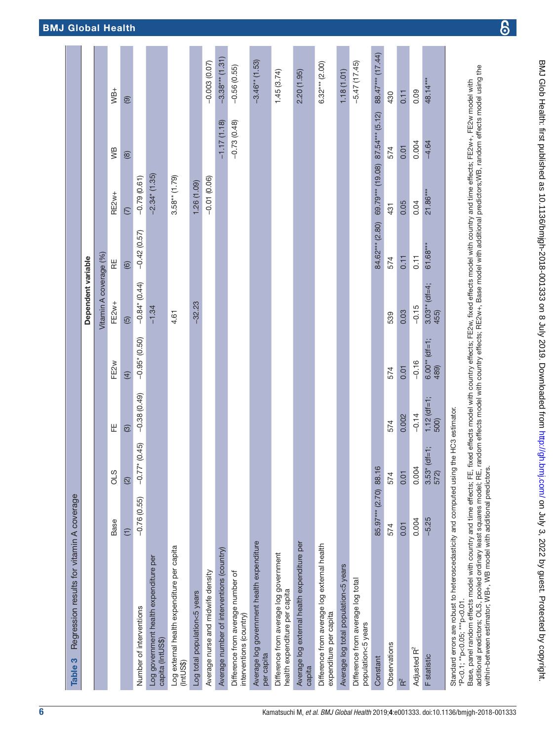<span id="page-5-0"></span>

| Regression results for vitamin A coverage<br>Table 3                                                                  |                       |                             |                       |                         |                         |                 |                                  |               |                   |
|-----------------------------------------------------------------------------------------------------------------------|-----------------------|-----------------------------|-----------------------|-------------------------|-------------------------|-----------------|----------------------------------|---------------|-------------------|
|                                                                                                                       |                       |                             |                       |                         | Dependent variable      |                 |                                  |               |                   |
|                                                                                                                       |                       |                             |                       |                         | Vitamin A coverage (%)  |                 |                                  |               |                   |
|                                                                                                                       | Base                  | <b>OLS</b>                  | 뿐                     | FE2w                    | FE2w+                   | RΕ              | RE2w+                            | WВ            | WB+               |
|                                                                                                                       | $\widehat{E}$         | $\widehat{2}$               | $\circledR$           | $\overline{4}$          | $\overline{5}$          | $\circlede$     | $\overline{C}$                   | $\circledR$   | ම                 |
| Number of interventions                                                                                               | $-0.76(0.55)$         | $-0.77*(0.45)$              | $-0.38(0.49)$         | $-0.95*(0.50)$          | $-0.84$ (0.44)          | $-0.42(0.57)$   | $-0.79(0.61)$                    |               |                   |
| Log government health expenditure per<br>capita (IntUS\$)                                                             |                       |                             |                       |                         | $-1.34$                 |                 | $-2.34$ (1.35)                   |               |                   |
| Log external health expenditure per capita<br>(IntUSE)                                                                |                       |                             |                       |                         | 4.61                    |                 | $3.58'''$ (1.79)                 |               |                   |
| Log total population<5 years                                                                                          |                       |                             |                       |                         | $-32.23$                |                 | 1.26(1.09)                       |               |                   |
| Average nurse and midwife density                                                                                     |                       |                             |                       |                         |                         |                 | $-0.01(0.06)$                    |               | $-0.003(0.07)$    |
| Average number of interventions (country)                                                                             |                       |                             |                       |                         |                         |                 |                                  | $-1.17(1.18)$ | $-3.38***$ (1.31) |
| Difference from average number of<br>interventions (country)                                                          |                       |                             |                       |                         |                         |                 |                                  | $-0.73(0.48)$ | $-0.56(0.55)$     |
| Average log government health expenditure<br>per capita                                                               |                       |                             |                       |                         |                         |                 |                                  |               | $-3.46$ ** (1.53) |
| Difference from average log government<br>health expenditure per capita                                               |                       |                             |                       |                         |                         |                 |                                  |               | 1.45(3.74)        |
| Average log external health expenditure per<br>capita                                                                 |                       |                             |                       |                         |                         |                 |                                  |               | 2.20(1.95)        |
| Difference from average log external health<br>expenditure per capita                                                 |                       |                             |                       |                         |                         |                 |                                  |               | $6.32***$ (2.00)  |
| Average log total population<5 years                                                                                  |                       |                             |                       |                         |                         |                 |                                  |               | 1.18(1.01)        |
| Difference from average log total<br>population<5 years                                                               |                       |                             |                       |                         |                         |                 |                                  |               | $-5.47(17.45)$    |
| Constant                                                                                                              | 85.97*** (2.70) 88.16 |                             |                       |                         |                         | 84.62*** (2.80) | 69.79*** (19.08) 87.54*** (5.12) |               | 88.47*** (17.44)  |
| Observations                                                                                                          | 574                   | 574                         | 574                   | 574                     | 539                     | 574             | 431                              | 574           | 430               |
| $\mathbf{\hat{R}}^2$                                                                                                  | 0.01                  | 0.01                        | 0.002                 | 0.01                    | 0.03                    | 0.11            | 0.05                             | 0.01          | 0.11              |
| Adjusted R <sup>2</sup>                                                                                               | 0.004                 | 0.004                       | $-0.14$               | $-0.16$                 | $-0.15$                 | 0.11            | 0.04                             | 0.004         | 0.09              |
| <b>F</b> statistic                                                                                                    | $-5.25$               | $(df=1;$<br>$3.53*$<br>572) | $1.12$ (df=1;<br>500) | $6.00**$ (df=1;<br>489) | $3.03**$ (df=4;<br>455) | $61.68***$      | $21.86***$                       | $-4.64$       | 48.14***          |
| Standard errors are robust to heteroscedasticity and computed using the HC3 estimator.<br>"P<0.1; ""p<0.05; ""p<0.01. |                       |                             |                       |                         |                         |                 |                                  |               |                   |

Base, panel random effects model with country and time effects; FE, fixed effects model with country effects; FE2w, fixed effects model with country and time effects; FE2w+, FE2w model with<br>additional predictors; OLS, pool additional predictors; OLS, pooled ordinary least squares model; RE, random effects model with country effects; RE2w+, Base model with additional predictors;WB, random effects model using the Base, panel random effects model with country and time effects; FE, fixed effects model with country effects model with country and time effects; FE2w+, FE2w model with within-between estimator; WB+, WB model with additional predictors.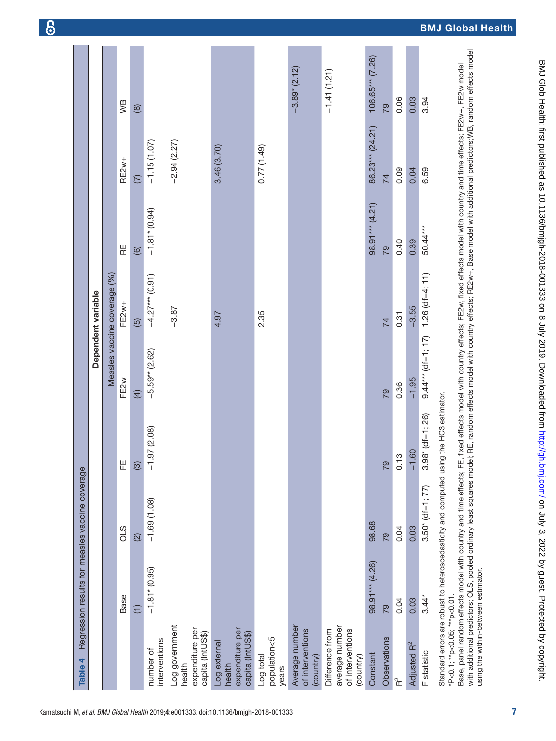| Table 4                                                            |                             | Regression results for measles vaccine coverage                                                                                                                                                                                                                                                                                                                                                                                                                                         |                         |                      |                              |                       |                  |                      |
|--------------------------------------------------------------------|-----------------------------|-----------------------------------------------------------------------------------------------------------------------------------------------------------------------------------------------------------------------------------------------------------------------------------------------------------------------------------------------------------------------------------------------------------------------------------------------------------------------------------------|-------------------------|----------------------|------------------------------|-----------------------|------------------|----------------------|
|                                                                    |                             |                                                                                                                                                                                                                                                                                                                                                                                                                                                                                         |                         |                      | Dependent variable           |                       |                  |                      |
|                                                                    |                             |                                                                                                                                                                                                                                                                                                                                                                                                                                                                                         |                         |                      | Measles vaccine coverage (%) |                       |                  |                      |
|                                                                    | Base                        | $rac{S}{C}$                                                                                                                                                                                                                                                                                                                                                                                                                                                                             | ΕE                      | FE2w                 | FE2w+                        | 몬                     | RE2w+            | уB                   |
|                                                                    | $\widehat{t}$               | $\widehat{2}$                                                                                                                                                                                                                                                                                                                                                                                                                                                                           | $\circledR$             | $\overline{4}$       | $\overline{5}$               | $\circlede$           | $\overline{C}$   | $\circledR$          |
| interventions<br>number of                                         | $-1.81$ <sup>*</sup> (0.95) | $-1.69(1.08)$                                                                                                                                                                                                                                                                                                                                                                                                                                                                           | $-1.97(2.08)$           | $-5.59**$ (2.62)     | $-4.27***$ (0.91)            | $-1.81$ * (0.94)      | $-1.15(1.07)$    |                      |
| Log government<br>expenditure per<br>capita (IntUS\$)<br>health    |                             |                                                                                                                                                                                                                                                                                                                                                                                                                                                                                         |                         |                      | $-3.87$                      |                       | $-2.94(2.27)$    |                      |
| expenditure per<br>capita (IntUS\$)<br>Log external<br>health      |                             |                                                                                                                                                                                                                                                                                                                                                                                                                                                                                         |                         |                      | 4.97                         |                       | 3.46 (3.70)      |                      |
| population<5<br>Log total<br>years                                 |                             |                                                                                                                                                                                                                                                                                                                                                                                                                                                                                         |                         |                      | 2.35                         |                       | $(64.1)$ $17$    |                      |
| Average number<br>of interventions<br>(country)                    |                             |                                                                                                                                                                                                                                                                                                                                                                                                                                                                                         |                         |                      |                              |                       |                  | $-3.89* (2.12)$      |
| average number<br>of interventions<br>Difference from<br>(country) |                             |                                                                                                                                                                                                                                                                                                                                                                                                                                                                                         |                         |                      |                              |                       |                  | $-1.41(1.21)$        |
| Constant                                                           | 98.91*** (4.26)             | 98.68                                                                                                                                                                                                                                                                                                                                                                                                                                                                                   |                         |                      |                              | $(15.4)$ *** $(4.21)$ | 86.23*** (24.21) | $106.65***$ $(7.26)$ |
| Observations                                                       | 79                          | 79                                                                                                                                                                                                                                                                                                                                                                                                                                                                                      | 79                      | 79                   | 74                           | 79                    | 74               | 79                   |
| $\mathbf{\hat{r}}$                                                 | 0.04                        | 0.04                                                                                                                                                                                                                                                                                                                                                                                                                                                                                    | 0.13                    | 0.36                 | 0.31                         | 0.40                  | 0.09             | 0.06                 |
| Adjusted R <sup>2</sup>                                            | 0.03                        | 0.03                                                                                                                                                                                                                                                                                                                                                                                                                                                                                    | 1.60                    | $-1.95$              | $-3.55$                      | 0.39                  | 0.04             | 0.03                 |
| F statistic                                                        | $3.44*$                     | $3.50*$ (df=1; 77)                                                                                                                                                                                                                                                                                                                                                                                                                                                                      | $.98^*$ (df=1; 26)<br>က | $9.44***$ (df=1; 17) | 1.26 $(df=4; 11)$            | 50.44***              | 6.59             | 3.94                 |
| using the within-between estimator.<br>"P<0.1; ""p<0.05; ""p<0.01. |                             | with additional predictors; OLS, pooled ordinary least squares model; RE, random effects model with country effects; RE2w+, Base model with additional predictors;WB, random effects model<br>Base, panel random effects model with country and time effects; FE, fixed effects model with country effects; FE2w, fixed effects model with country and time effects; FE2w+, FE2w+, FE2w model<br>Standard errors are robust to heteroscedasticity and computed using the HC3 estimator. |                         |                      |                              |                       |                  |                      |

BMJ Glob Health: first published as 10.1136/bmigh-2018-001333 on 8 July 2019. Downloaded from http://gh.bmj.com/ on July 3, 2022 by guest. Protected by copyright. BMJ Glob Health: first published as 10.1136/bmjgh-2018-001333 on 8 July 2019. Downloaded from <http://gh.bmj.com/> on July 3, 2022 by guest. Protected by copyright:

<span id="page-6-0"></span>7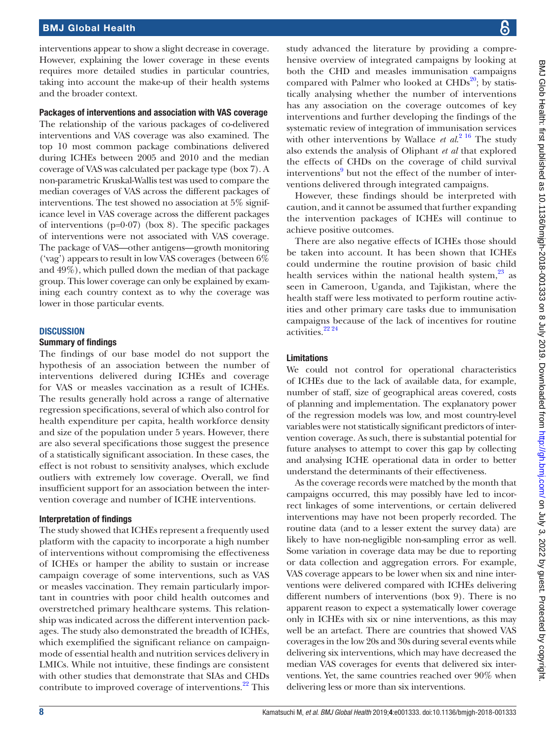interventions appear to show a slight decrease in coverage. However, explaining the lower coverage in these events requires more detailed studies in particular countries, taking into account the make-up of their health systems and the broader context.

#### Packages of interventions and association with VAS coverage

The relationship of the various packages of co-delivered interventions and VAS coverage was also examined. The top 10 most common package combinations delivered during ICHEs between 2005 and 2010 and the median coverage of VAS was calculated per package type [\(box 7](https://dx.doi.org/10.1136/bmjgh-2018-001333)). A non-parametric Kruskal-Wallis test was used to compare the median coverages of VAS across the different packages of interventions. The test showed no association at 5% significance level in VAS coverage across the different packages of interventions  $(p=0.07)$  [\(box 8](https://dx.doi.org/10.1136/bmjgh-2018-001333)). The specific packages of interventions were not associated with VAS coverage. The package of VAS—other antigens—growth monitoring ('vag') appears to result in low VAS coverages (between 6% and 49%), which pulled down the median of that package group. This lower coverage can only be explained by examining each country context as to why the coverage was lower in those particular events.

#### **DISCUSSION**

#### Summary of findings

The findings of our base model do not support the hypothesis of an association between the number of interventions delivered during ICHEs and coverage for VAS or measles vaccination as a result of ICHEs. The results generally hold across a range of alternative regression specifications, several of which also control for health expenditure per capita, health workforce density and size of the population under 5 years. However, there are also several specifications those suggest the presence of a statistically significant association. In these cases, the effect is not robust to sensitivity analyses, which exclude outliers with extremely low coverage. Overall, we find insufficient support for an association between the intervention coverage and number of ICHE interventions.

#### Interpretation of findings

The study showed that ICHEs represent a frequently used platform with the capacity to incorporate a high number of interventions without compromising the effectiveness of ICHEs or hamper the ability to sustain or increase campaign coverage of some interventions, such as VAS or measles vaccination. They remain particularly important in countries with poor child health outcomes and overstretched primary healthcare systems. This relationship was indicated across the different intervention packages. The study also demonstrated the breadth of ICHEs, which exemplified the significant reliance on campaignmode of essential health and nutrition services delivery in LMICs. While not intuitive, these findings are consistent with other studies that demonstrate that SIAs and CHDs contribute to improved coverage of interventions.<sup>22</sup> This

study advanced the literature by providing a comprehensive overview of integrated campaigns by looking at both the CHD and measles immunisation campaigns compared with Palmer who looked at  $CHDs<sup>20</sup>$  $CHDs<sup>20</sup>$  $CHDs<sup>20</sup>$ ; by statistically analysing whether the number of interventions has any association on the coverage outcomes of key interventions and further developing the findings of the systematic review of integration of immunisation services with other interventions by Wallace *et al.*<sup>2</sup><sup>16</sup> The study also extends the analysis of Oliphant *et al* that explored the effects of CHDs on the coverage of child survival interventions<sup>[9](#page-8-4)</sup> but not the effect of the number of interventions delivered through integrated campaigns.

However, these findings should be interpreted with caution, and it cannot be assumed that further expanding the intervention packages of ICHEs will continue to achieve positive outcomes.

There are also negative effects of ICHEs those should be taken into account. It has been shown that ICHEs could undermine the routine provision of basic child health services within the national health system, $^{23}$  $^{23}$  $^{23}$  as seen in Cameroon, Uganda, and Tajikistan, where the health staff were less motivated to perform routine activities and other primary care tasks due to immunisation campaigns because of the lack of incentives for routine activities.<sup>[22 24](#page-8-13)</sup>

#### Limitations

We could not control for operational characteristics of ICHEs due to the lack of available data, for example, number of staff, size of geographical areas covered, costs of planning and implementation. The explanatory power of the regression models was low, and most country-level variables were not statistically significant predictors of intervention coverage. As such, there is substantial potential for future analyses to attempt to cover this gap by collecting and analysing ICHE operational data in order to better understand the determinants of their effectiveness.

As the coverage records were matched by the month that campaigns occurred, this may possibly have led to incorrect linkages of some interventions, or certain delivered interventions may have not been properly recorded. The routine data (and to a lesser extent the survey data) are likely to have non-negligible non-sampling error as well. Some variation in coverage data may be due to reporting or data collection and aggregation errors. For example, VAS coverage appears to be lower when six and nine interventions were delivered compared with ICHEs delivering different numbers of interventions [\(box 9](https://dx.doi.org/10.1136/bmjgh-2018-001333)). There is no apparent reason to expect a systematically lower coverage only in ICHEs with six or nine interventions, as this may well be an artefact. There are countries that showed VAS coverages in the low 20s and 30s during several events while delivering six interventions, which may have decreased the median VAS coverages for events that delivered six interventions. Yet, the same countries reached over 90% when delivering less or more than six interventions.